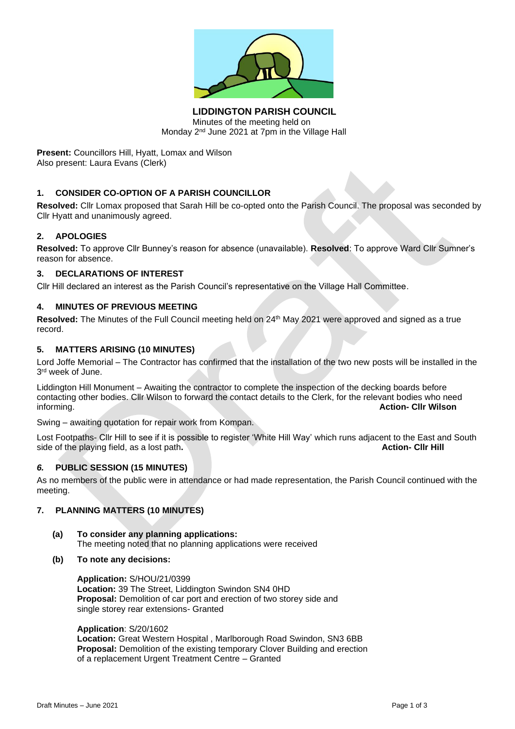

**LIDDINGTON PARISH COUNCIL** Minutes of the meeting held on Monday 2<sup>nd</sup> June 2021 at 7pm in the Village Hall

**Present:** Councillors Hill, Hyatt, Lomax and Wilson Also present: Laura Evans (Clerk)

# **1. CONSIDER CO-OPTION OF A PARISH COUNCILLOR**

**Resolved:** Cllr Lomax proposed that Sarah Hill be co-opted onto the Parish Council. The proposal was seconded by Cllr Hyatt and unanimously agreed.

# **2. APOLOGIES**

**Resolved:** To approve Cllr Bunney's reason for absence (unavailable). **Resolved**: To approve Ward Cllr Sumner's reason for absence.

#### **3. DECLARATIONS OF INTEREST**

Cllr Hill declared an interest as the Parish Council's representative on the Village Hall Committee.

### **4. MINUTES OF PREVIOUS MEETING**

**Resolved:** The Minutes of the Full Council meeting held on 24th May 2021 were approved and signed as a true record.

#### **5. MATTERS ARISING (10 MINUTES)**

Lord Joffe Memorial – The Contractor has confirmed that the installation of the two new posts will be installed in the 3<sup>rd</sup> week of June.

Liddington Hill Monument – Awaiting the contractor to complete the inspection of the decking boards before contacting other bodies. Cllr Wilson to forward the contact details to the Clerk, for the relevant bodies who need informing. **Action- Cllr Wilson**

Swing – awaiting quotation for repair work from Kompan.

Lost Footpaths- Cllr Hill to see if it is possible to register 'White Hill Way' which runs adjacent to the East and South side of the playing field, as a lost path**. Action- Cllr Hill**

### *6.* **PUBLIC SESSION (15 MINUTES)**

As no members of the public were in attendance or had made representation, the Parish Council continued with the meeting.

### **7. PLANNING MATTERS (10 MINUTES)**

- **(a) To consider any planning applications:** The meeting noted that no planning applications were received
- **(b) To note any decisions:**

**Application:** S/HOU/21/0399 **Location:** 39 The Street, Liddington Swindon SN4 0HD **Proposal:** Demolition of car port and erection of two storey side and single storey rear extensions- Granted

**Application**: S/20/1602 **Location:** Great Western Hospital , Marlborough Road Swindon, SN3 6BB **Proposal:** Demolition of the existing temporary Clover Building and erection of a replacement Urgent Treatment Centre – Granted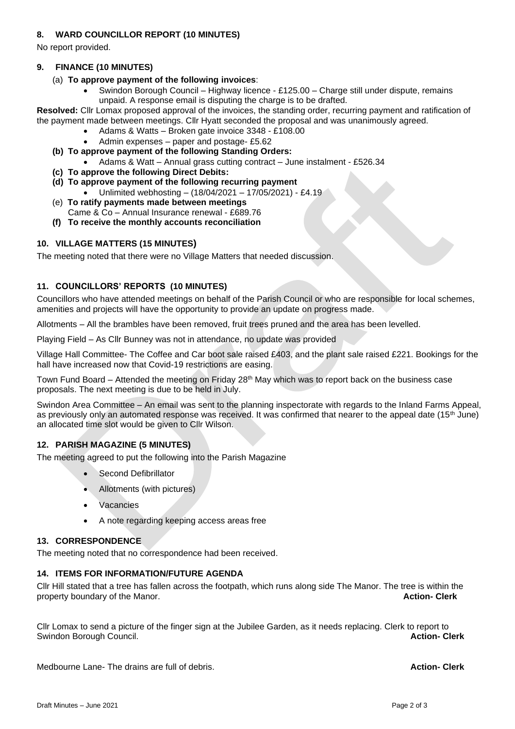# **8. WARD COUNCILLOR REPORT (10 MINUTES)**

No report provided.

### **9. FINANCE (10 MINUTES)**

# (a) **To approve payment of the following invoices**:

• Swindon Borough Council – Highway licence - £125.00 – Charge still under dispute, remains unpaid. A response email is disputing the charge is to be drafted.

**Resolved:** Cllr Lomax proposed approval of the invoices, the standing order, recurring payment and ratification of the payment made between meetings. Cllr Hyatt seconded the proposal and was unanimously agreed.

- Adams & Watts Broken gate invoice 3348 £108.00
- Admin expenses paper and postage- £5.62
- **(b) To approve payment of the following Standing Orders:**
	- Adams & Watt Annual grass cutting contract June instalment £526.34
- **(c) To approve the following Direct Debits:**
- **(d) To approve payment of the following recurring payment**
	- Unlimited webhosting (18/04/2021 17/05/2021) £4.19
- (e) **To ratify payments made between meetings** Came & Co – Annual Insurance renewal - £689.76
- **(f) To receive the monthly accounts reconciliation**

### **10. VILLAGE MATTERS (15 MINUTES)**

The meeting noted that there were no Village Matters that needed discussion.

#### **11. COUNCILLORS' REPORTS (10 MINUTES)**

Councillors who have attended meetings on behalf of the Parish Council or who are responsible for local schemes, amenities and projects will have the opportunity to provide an update on progress made.

Allotments – All the brambles have been removed, fruit trees pruned and the area has been levelled.

Playing Field – As Cllr Bunney was not in attendance, no update was provided

Village Hall Committee- The Coffee and Car boot sale raised £403, and the plant sale raised £221. Bookings for the hall have increased now that Covid-19 restrictions are easing.

Town Fund Board – Attended the meeting on Friday 28<sup>th</sup> May which was to report back on the business case proposals. The next meeting is due to be held in July.

Swindon Area Committee – An email was sent to the planning inspectorate with regards to the Inland Farms Appeal, as previously only an automated response was received. It was confirmed that nearer to the appeal date (15<sup>th</sup> June) an allocated time slot would be given to Cllr Wilson.

### **12. PARISH MAGAZINE (5 MINUTES)**

The meeting agreed to put the following into the Parish Magazine

- Second Defibrillator
- Allotments (with pictures)
- **Vacancies**
- A note regarding keeping access areas free

#### **13. CORRESPONDENCE**

The meeting noted that no correspondence had been received.

#### **14. ITEMS FOR INFORMATION/FUTURE AGENDA**

Cllr Hill stated that a tree has fallen across the footpath, which runs along side The Manor. The tree is within the property boundary of the Manor. **Action- Clerk**

Cllr Lomax to send a picture of the finger sign at the Jubilee Garden, as it needs replacing. Clerk to report to Swindon Borough Council. **Action- Clerk**

Medbourne Lane- The drains are full of debris. **Action- Clerk**